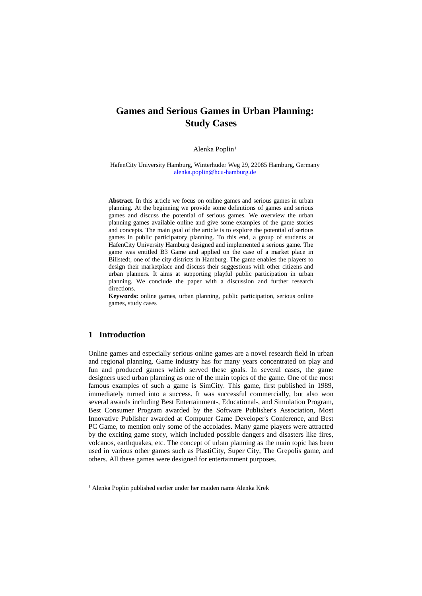#### Alenka Poplin<sup>[1](#page-0-0)</sup>

HafenCity University Hamburg, Winterhuder Weg 29, 22085 Hamburg, Germany [alenka.poplin@hcu-hamburg.de](mailto:giuseppe.borruso@econ.units.it)

**Abstract.** In this article we focus on online games and serious games in urban planning. At the beginning we provide some definitions of games and serious games and discuss the potential of serious games. We overview the urban planning games available online and give some examples of the game stories and concepts. The main goal of the article is to explore the potential of serious games in public participatory planning. To this end, a group of students at HafenCity University Hamburg designed and implemented a serious game. The game was entitled B3 Game and applied on the case of a market place in Billstedt, one of the city districts in Hamburg. The game enables the players to design their marketplace and discuss their suggestions with other citizens and urban planners. It aims at supporting playful public participation in urban planning. We conclude the paper with a discussion and further research directions.

**Keywords:** online games, urban planning, public participation, serious online games, study cases

# **1 Introduction**

Online games and especially serious online games are a novel research field in urban and regional planning. Game industry has for many years concentrated on play and fun and produced games which served these goals. In several cases, the game designers used urban planning as one of the main topics of the game. One of the most famous examples of such a game is SimCity. This game, first published in 1989, immediately turned into a success. It was successful commercially, but also won several awards including Best Entertainment-, Educational-, and Simulation Program, Best Consumer Program awarded by the Software Publisher's Association, Most Innovative Publisher awarded at Computer Game Developer's Conference, and Best PC Game, to mention only some of the accolades. Many game players were attracted by the exciting game story, which included possible dangers and disasters like fires, volcanos, earthquakes, etc. The concept of urban planning as the main topic has been used in various other games such as PlastiCity, Super City, The Grepolis game, and others. All these games were designed for entertainment purposes.

<span id="page-0-0"></span> <sup>1</sup> Alenka Poplin published earlier under her maiden name Alenka Krek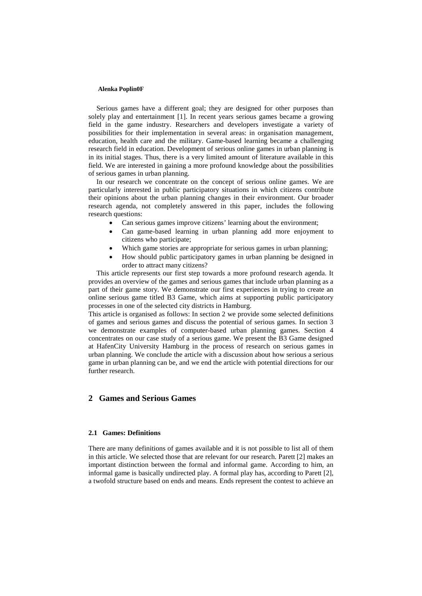Serious games have a different goal; they are designed for other purposes than solely play and entertainment [1]. In recent years serious games became a growing field in the game industry. Researchers and developers investigate a variety of possibilities for their implementation in several areas: in organisation management, education, health care and the military. Game-based learning became a challenging research field in education. Development of serious online games in urban planning is in its initial stages. Thus, there is a very limited amount of literature available in this field. We are interested in gaining a more profound knowledge about the possibilities of serious games in urban planning.

In our research we concentrate on the concept of serious online games. We are particularly interested in public participatory situations in which citizens contribute their opinions about the urban planning changes in their environment. Our broader research agenda, not completely answered in this paper, includes the following research questions:

- Can serious games improve citizens' learning about the environment;
- Can game-based learning in urban planning add more enjoyment to citizens who participate;
- Which game stories are appropriate for serious games in urban planning;
- How should public participatory games in urban planning be designed in order to attract many citizens?

This article represents our first step towards a more profound research agenda. It provides an overview of the games and serious games that include urban planning as a part of their game story. We demonstrate our first experiences in trying to create an online serious game titled B3 Game, which aims at supporting public participatory processes in one of the selected city districts in Hamburg.

This article is organised as follows: In section 2 we provide some selected definitions of games and serious games and discuss the potential of serious games. In section 3 we demonstrate examples of computer-based urban planning games. Section 4 concentrates on our case study of a serious game. We present the B3 Game designed at HafenCity University Hamburg in the process of research on serious games in urban planning. We conclude the article with a discussion about how serious a serious game in urban planning can be, and we end the article with potential directions for our further research.

# **2 Games and Serious Games**

# **2.1 Games: Definitions**

There are many definitions of games available and it is not possible to list all of them in this article. We selected those that are relevant for our research. Parett [2] makes an important distinction between the formal and informal game. According to him, an informal game is basically undirected play. A formal play has, according to Parett [2], a twofold structure based on ends and means. Ends represent the contest to achieve an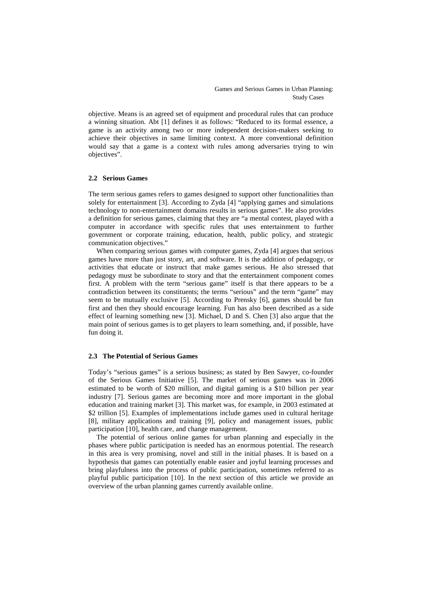objective. Means is an agreed set of equipment and procedural rules that can produce a winning situation. Abt [1] defines it as follows: "Reduced to its formal essence, a game is an activity among two or more independent decision-makers seeking to achieve their objectives in same limiting context. A more conventional definition would say that a game is a context with rules among adversaries trying to win objectives".

#### **2.2 Serious Games**

The term serious games refers to games designed to support other functionalities than solely for entertainment [3]. According to Zyda [4] "applying games and simulations technology to non-entertainment domains results in serious games". He also provides a definition for serious games, claiming that they are "a mental contest, played with a computer in accordance with specific rules that uses entertainment to further government or corporate training, education, health, public policy, and strategic communication objectives."

When comparing serious games with computer games, Zyda [4] argues that serious games have more than just story, art, and software. It is the addition of pedagogy, or activities that educate or instruct that make games serious. He also stressed that pedagogy must be subordinate to story and that the entertainment component comes first. A problem with the term "serious game" itself is that there appears to be a contradiction between its constituents; the terms "serious" and the term "game" may seem to be mutually exclusive [5]. According to Prensky [6], games should be fun first and then they should encourage learning. Fun has also been described as a side effect of learning something new [3]. Michael, D and S. Chen [3] also argue that the main point of serious games is to get players to learn something, and, if possible, have fun doing it.

#### **2.3 The Potential of Serious Games**

Today's "serious games" is a serious business; as stated by Ben Sawyer, co-founder of the Serious Games Initiative [5]. The market of serious games was in 2006 estimated to be worth of \$20 million, and digital gaming is a \$10 billion per year industry [7]. Serious games are becoming more and more important in the global education and training market [3]. This market was, for example, in 2003 estimated at \$2 trillion [5]. Examples of implementations include games used in cultural heritage [8], military applications and training [9], policy and management issues, public participation [10], health care, and change management.

The potential of serious online games for urban planning and especially in the phases where public participation is needed has an enormous potential. The research in this area is very promising, novel and still in the initial phases. It is based on a hypothesis that games can potentially enable easier and joyful learning processes and bring playfulness into the process of public participation, sometimes referred to as playful public participation [10]. In the next section of this article we provide an overview of the urban planning games currently available online.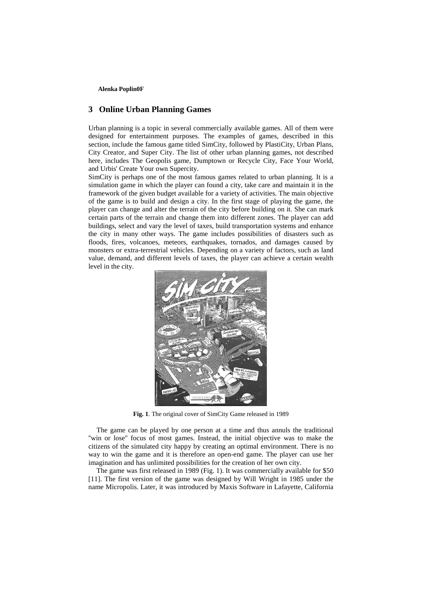# **3 Online Urban Planning Games**

Urban planning is a topic in several commercially available games. All of them were designed for entertainment purposes. The examples of games, described in this section, include the famous game titled SimCity, followed by PlastiCity, Urban Plans, City Creator, and Super City. The list of other urban planning games, not described here, includes The Geopolis game, Dumptown or Recycle City, Face Your World, and Urbis' Create Your own Supercity.

SimCity is perhaps one of the most famous games related to urban planning. It is a simulation game in which the player can found a city, take care and maintain it in the framework of the given budget available for a variety of activities. The main objective of the game is to build and design a city. In the first stage of playing the game, the player can change and alter the terrain of the city before building on it. She can mark certain parts of the terrain and change them into different zones. The player can add buildings, select and vary the level of taxes, build transportation systems and enhance the city in many other ways. The game includes possibilities of disasters such as floods, fires, volcanoes, meteors, earthquakes, tornados, and damages caused by monsters or extra-terrestrial vehicles. Depending on a variety of factors, such as land value, demand, and different levels of taxes, the player can achieve a certain wealth level in the city.



**Fig. 1**. The original cover of SimCity Game released in 1989

The game can be played by one person at a time and thus annuls the traditional ''win or lose'' focus of most games. Instead, the initial objective was to make the citizens of the simulated city happy by creating an optimal environment. There is no way to win the game and it is therefore an open-end game. The player can use her imagination and has unlimited possibilities for the creation of her own city.

The game was first released in 1989 (Fig. 1). It was commercially available for \$50 [11]. The first version of the game was designed by Will Wright in 1985 under the name Micropolis. Later, it was introduced by Maxis Software in Lafayette, California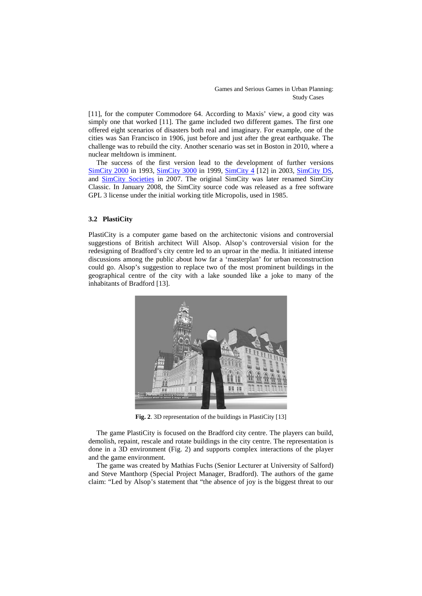[11], for the computer Commodore 64. According to Maxis' view, a good city was simply one that worked [11]. The game included two different games. The first one offered eight scenarios of disasters both real and imaginary. For example, one of the cities was San Francisco in 1906, just before and just after the great earthquake. The challenge was to rebuild the city. Another scenario was set in Boston in 2010, where a nuclear meltdown is imminent.

The success of the first version lead to the development of further versions [SimCity 2000](http://en.wikipedia.org/wiki/SimCity_2000) in 1993, [SimCity 3000](http://en.wikipedia.org/wiki/SimCity_3000) in 1999, [SimCity 4](http://en.wikipedia.org/wiki/SimCity_4) [12] in 2003, [SimCity DS,](http://en.wikipedia.org/wiki/SimCity_DS) and **[SimCity Societies](http://en.wikipedia.org/wiki/SimCity_Societies)** in 2007. The original SimCity was later renamed SimCity Classic. In January 2008, the SimCity source code was released as a free software GPL 3 license under the initial working title Micropolis, used in 1985.

### **3.2 PlastiCity**

PlastiCity is a computer game based on the architectonic visions and controversial suggestions of British architect Will Alsop. Alsop's controversial vision for the redesigning of Bradford's city centre led to an uproar in the media. It initiated intense discussions among the public about how far a 'masterplan' for urban reconstruction could go. Alsop's suggestion to replace two of the most prominent buildings in the geographical centre of the city with a lake sounded like a joke to many of the inhabitants of Bradford [13].



**Fig. 2**. 3D representation of the buildings in PlastiCity [13]

The game PlastiCity is focused on the Bradford city centre. The players can build, demolish, repaint, rescale and rotate buildings in the city centre. The representation is done in a 3D environment (Fig. 2) and supports complex interactions of the player and the game environment.

The game was created by Mathias Fuchs (Senior Lecturer at University of Salford) and Steve Manthorp (Special Project Manager, Bradford). The authors of the game claim: "Led by Alsop's statement that "the absence of joy is the biggest threat to our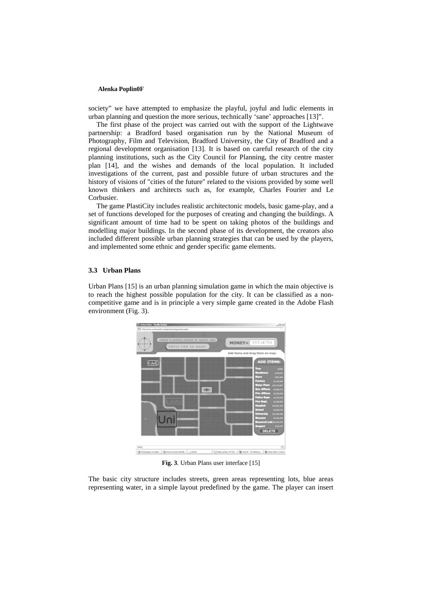society" we have attempted to emphasize the playful, joyful and ludic elements in urban planning and question the more serious, technically 'sane' approaches [13]".

The first phase of the project was carried out with the support of the Lightwave partnership: a Bradford based organisation run by the National Museum of Photography, Film and Television, Bradford University, the City of Bradford and a regional development organisation [13]. It is based on careful research of the city planning institutions, such as the City Council for Planning, the city centre master plan [14], and the wishes and demands of the local population. It included investigations of the current, past and possible future of urban structures and the history of visions of "cities of the future" related to the visions provided by some well known thinkers and architects such as, for example, Charles Fourier and Le Corbusier.

The game PlastiCity includes realistic architectonic models, basic game-play, and a set of functions developed for the purposes of creating and changing the buildings. A significant amount of time had to be spent on taking photos of the buildings and modelling major buildings. In the second phase of its development, the creators also included different possible urban planning strategies that can be used by the players, and implemented some ethnic and gender specific game elements.

# **3.3 Urban Plans**

Urban Plans [15] is an urban planning simulation game in which the main objective is to reach the highest possible population for the city. It can be classified as a noncompetitive game and is in principle a very simple game created in the Adobe Flash environment (Fig. 3).



**Fig. 3**. Urban Plans user interface [15]

The basic city structure includes streets, green areas representing lots, blue areas representing water, in a simple layout predefined by the game. The player can insert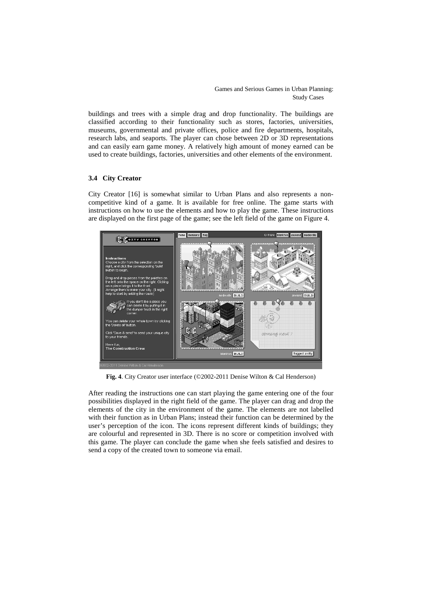buildings and trees with a simple drag and drop functionality. The buildings are classified according to their functionality such as stores, factories, universities, museums, governmental and private offices, police and fire departments, hospitals, research labs, and seaports. The player can chose between 2D or 3D representations and can easily earn game money. A relatively high amount of money earned can be used to create buildings, factories, universities and other elements of the environment.

#### **3.4 City Creator**

City Creator [16] is somewhat similar to Urban Plans and also represents a noncompetitive kind of a game. It is available for free online. The game starts with instructions on how to use the elements and how to play the game. These instructions are displayed on the first page of the game; see the left field of the game on Figure 4.



**Fig. 4**. City Creator user interface (©2002-2011 Denise Wilton & Cal Henderson)

After reading the instructions one can start playing the game entering one of the four possibilities displayed in the right field of the game. The player can drag and drop the elements of the city in the environment of the game. The elements are not labelled with their function as in Urban Plans; instead their function can be determined by the user's perception of the icon. The icons represent different kinds of buildings; they are colourful and represented in 3D. There is no score or competition involved with this game. The player can conclude the game when she feels satisfied and desires to send a copy of the created town to someone via email.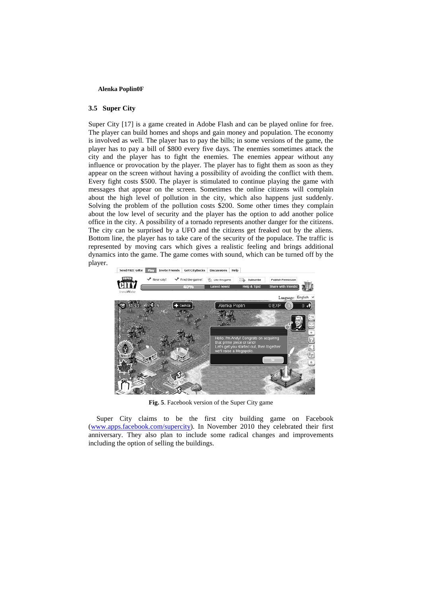#### **3.5 Super City**

Super City [17] is a game created in Adobe Flash and can be played online for free. The player can build homes and shops and gain money and population. The economy is involved as well. The player has to pay the bills; in some versions of the game, the player has to pay a bill of \$800 every five days. The enemies sometimes attack the city and the player has to fight the enemies. The enemies appear without any influence or provocation by the player. The player has to fight them as soon as they appear on the screen without having a possibility of avoiding the conflict with them. Every fight costs \$500. The player is stimulated to continue playing the game with messages that appear on the screen. Sometimes the online citizens will complain about the high level of pollution in the city, which also happens just suddenly. Solving the problem of the pollution costs \$200. Some other times they complain about the low level of security and the player has the option to add another police office in the city. A possibility of a tornado represents another danger for the citizens. The city can be surprised by a UFO and the citizens get freaked out by the aliens. Bottom line, the player has to take care of the security of the populace. The traffic is represented by moving cars which gives a realistic feeling and brings additional dynamics into the game. The game comes with sound, which can be turned off by the player.



**Fig. 5**. Facebook version of the Super City game

Super City claims to be the first city building game on Facebook [\(www.apps.facebook.com/supercity\)](http://www.apps.facebook.com/supercity). In November 2010 they celebrated their first anniversary. They also plan to include some radical changes and improvements including the option of selling the buildings.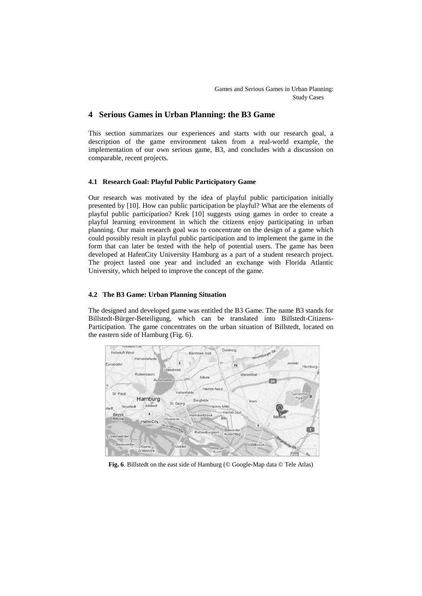# **4 Serious Games in Urban Planning: the B3 Game**

This section summarizes our experiences and starts with our research goal, a description of the game environment taken from a real-world example, the implementation of our own serious game, B3, and concludes with a discussion on comparable, recent projects.

# **4.1 Research Goal: Playful Public Participatory Game**

Our research was motivated by the idea of playful public participation initially presented by [10]. How can public participation be playful? What are the elements of playful public participation? Krek [10] suggests using games in order to create a playful learning environment in which the citizens enjoy participating in urban planning. Our main research goal was to concentrate on the design of a game which could possibly result in playful public participation and to implement the game in the form that can later be tested with the help of potential users. The game has been developed at HafenCity University Hamburg as a part of a student research project. The project lasted one year and included an exchange with Florida Atlantic University, which helped to improve the concept of the game.

# **4.2 The B3 Game: Urban Planning Situation**

The designed and developed game was entitled the B3 Game. The name B3 stands for Billstedt-Bürger-Beteiligung, which can be translated into Billstedt-Citizens-Participation. The game concentrates on the urban situation of Billstedt, located on the eastern side of Hamburg (Fig. 6).



Fig. 6. Billstedt on the east side of Hamburg (© Google-Map data © Tele Atlas)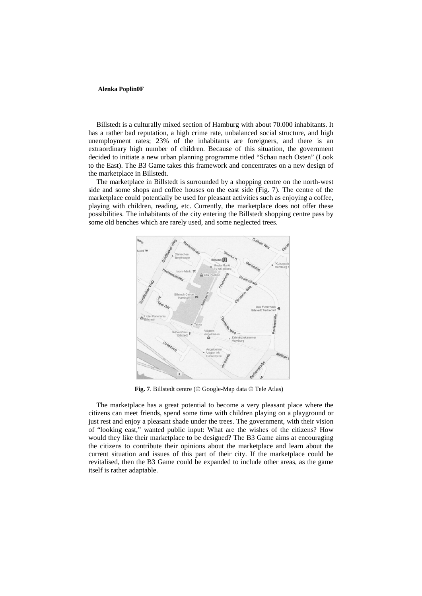Billstedt is a culturally mixed section of Hamburg with about 70.000 inhabitants. It has a rather bad reputation, a high crime rate, unbalanced social structure, and high unemployment rates; 23% of the inhabitants are foreigners, and there is an extraordinary high number of children. Because of this situation, the government decided to initiate a new urban planning programme titled "Schau nach Osten" (Look to the East). The B3 Game takes this framework and concentrates on a new design of the marketplace in Billstedt.

The marketplace in Billstedt is surrounded by a shopping centre on the north-west side and some shops and coffee houses on the east side (Fig. 7). The centre of the marketplace could potentially be used for pleasant activities such as enjoying a coffee, playing with children, reading, etc. Currently, the marketplace does not offer these possibilities. The inhabitants of the city entering the Billstedt shopping centre pass by some old benches which are rarely used, and some neglected trees.



 **Fig. 7**. Billstedt centre (© Google-Map data © Tele Atlas)

The marketplace has a great potential to become a very pleasant place where the citizens can meet friends, spend some time with children playing on a playground or just rest and enjoy a pleasant shade under the trees. The government, with their vision of "looking east," wanted public input: What are the wishes of the citizens? How would they like their marketplace to be designed? The B3 Game aims at encouraging the citizens to contribute their opinions about the marketplace and learn about the current situation and issues of this part of their city. If the marketplace could be revitalised, then the B3 Game could be expanded to include other areas, as the game itself is rather adaptable.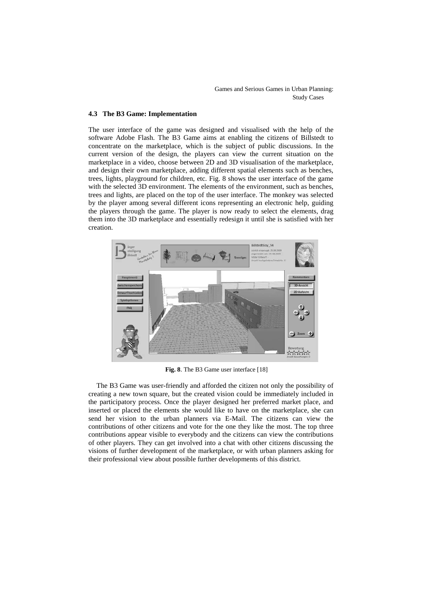# **4.3 The B3 Game: Implementation**

The user interface of the game was designed and visualised with the help of the software Adobe Flash. The B3 Game aims at enabling the citizens of Billstedt to concentrate on the marketplace, which is the subject of public discussions. In the current version of the design, the players can view the current situation on the marketplace in a video, choose between 2D and 3D visualisation of the marketplace, and design their own marketplace, adding different spatial elements such as benches, trees, lights, playground for children, etc. Fig. 8 shows the user interface of the game with the selected 3D environment. The elements of the environment, such as benches, trees and lights, are placed on the top of the user interface. The monkey was selected by the player among several different icons representing an electronic help, guiding the players through the game. The player is now ready to select the elements, drag them into the 3D marketplace and essentially redesign it until she is satisfied with her creation.



Fig. 8. The B3 Game user interface [18]

The B3 Game was user-friendly and afforded the citizen not only the possibility of creating a new town square, but the created vision could be immediately included in the participatory process. Once the player designed her preferred market place, and inserted or placed the elements she would like to have on the marketplace, she can send her vision to the urban planners via E-Mail. The citizens can view the contributions of other citizens and vote for the one they like the most. The top three contributions appear visible to everybody and the citizens can view the contributions of other players. They can get involved into a chat with other citizens discussing the visions of further development of the marketplace, or with urban planners asking for their professional view about possible further developments of this district.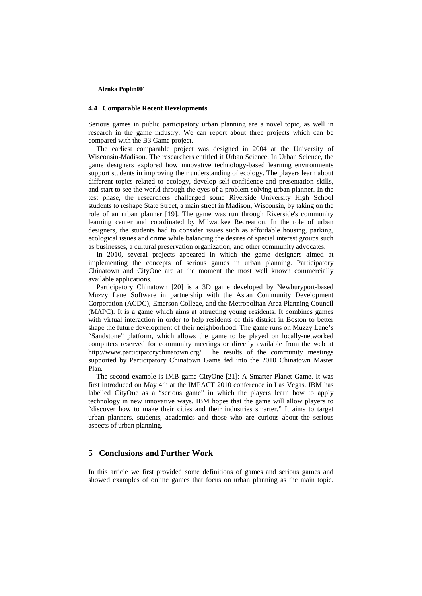#### **4.4 Comparable Recent Developments**

Serious games in public participatory urban planning are a novel topic, as well in research in the game industry. We can report about three projects which can be compared with the B3 Game project.

The earliest comparable project was designed in 2004 at the University of Wisconsin-Madison. The researchers entitled it Urban Science. In Urban Science, the game designers explored how innovative technology-based learning environments support students in improving their understanding of ecology. The players learn about different topics related to ecology, develop self-confidence and presentation skills, and start to see the world through the eyes of a problem-solving urban planner. In the test phase, the researchers challenged some Riverside University High School students to reshape State Street, a main street in Madison, Wisconsin, by taking on the role of an urban planner [19]. The game was run through Riverside's community learning center and coordinated by Milwaukee Recreation. In the role of urban designers, the students had to consider issues such as affordable housing, parking, ecological issues and crime while balancing the desires of special interest groups such as businesses, a cultural preservation organization, and other community advocates.

In 2010, several projects appeared in which the game designers aimed at implementing the concepts of serious games in urban planning. Participatory Chinatown and CityOne are at the moment the most well known commercially available applications.

Participatory Chinatown [20] is a 3D game developed by Newburyport-based Muzzy Lane Software in partnership with the Asian Community Development Corporation (ACDC), Emerson College, and the Metropolitan Area Planning Council (MAPC). It is a game which aims at attracting young residents. It combines games with virtual interaction in order to help residents of this district in Boston to better shape the future development of their neighborhood. The game runs on Muzzy Lane's "Sandstone" platform, which allows the game to be played on locally-networked computers reserved for community meetings or directly available from the web at [http://www.participatorychinatown.org/.](http://www.participatorychinatown.org/) The results of the community meetings supported by Participatory Chinatown Game fed into the 2010 Chinatown Master Plan.

The second example is IMB game CityOne [21]: A Smarter Planet Game. It was first introduced on May 4th at the IMPACT 2010 conference in Las Vegas. IBM has labelled CityOne as a "serious game" in which the players learn how to apply technology in new innovative ways. IBM hopes that the game will allow players to "discover how to make their cities and their industries smarter." It aims to target urban planners, students, academics and those who are curious about the serious aspects of urban planning.

# **5 Conclusions and Further Work**

In this article we first provided some definitions of games and serious games and showed examples of online games that focus on urban planning as the main topic.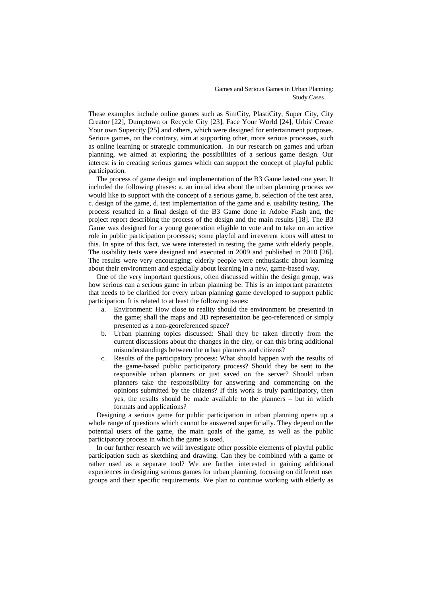These examples include online games such as SimCity, PlastiCity, Super City, City Creator [22], Dumptown or Recycle City [23], Face Your World [24], Urbis' Create Your own Supercity [25] and others, which were designed for entertainment purposes. Serious games, on the contrary, aim at supporting other, more serious processes, such as online learning or strategic communication. In our research on games and urban planning, we aimed at exploring the possibilities of a serious game design. Our interest is in creating serious games which can support the concept of playful public participation.

The process of game design and implementation of the B3 Game lasted one year. It included the following phases: a. an initial idea about the urban planning process we would like to support with the concept of a serious game, b. selection of the test area, c. design of the game, d. test implementation of the game and e. usability testing. The process resulted in a final design of the B3 Game done in Adobe Flash and, the project report describing the process of the design and the main results [18]. The B3 Game was designed for a young generation eligible to vote and to take on an active role in public participation processes; some playful and irreverent icons will attest to this. In spite of this fact, we were interested in testing the game with elderly people. The usability tests were designed and executed in 2009 and published in 2010 [26]. The results were very encouraging; elderly people were enthusiastic about learning about their environment and especially about learning in a new, game-based way.

One of the very important questions, often discussed within the design group, was how serious can a serious game in urban planning be. This is an important parameter that needs to be clarified for every urban planning game developed to support public participation. It is related to at least the following issues:

- a. Environment: How close to reality should the environment be presented in the game; shall the maps and 3D representation be geo-referenced or simply presented as a non-georeferenced space?
- b. Urban planning topics discussed: Shall they be taken directly from the current discussions about the changes in the city, or can this bring additional misunderstandings between the urban planners and citizens?
- c. Results of the participatory process: What should happen with the results of the game-based public participatory process? Should they be sent to the responsible urban planners or just saved on the server? Should urban planners take the responsibility for answering and commenting on the opinions submitted by the citizens? If this work is truly participatory, then yes, the results should be made available to the planners – but in which formats and applications?

Designing a serious game for public participation in urban planning opens up a whole range of questions which cannot be answered superficially. They depend on the potential users of the game, the main goals of the game, as well as the public participatory process in which the game is used.

In our further research we will investigate other possible elements of playful public participation such as sketching and drawing. Can they be combined with a game or rather used as a separate tool? We are further interested in gaining additional experiences in designing serious games for urban planning, focusing on different user groups and their specific requirements. We plan to continue working with elderly as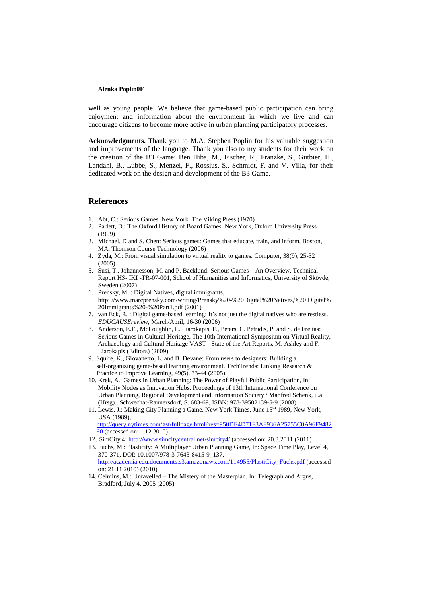well as young people. We believe that game-based public participation can bring enjoyment and information about the environment in which we live and can encourage citizens to become more active in urban planning participatory processes.

**Acknowledgments.** Thank you to M.A. Stephen Poplin for his valuable suggestion and improvements of the language. Thank you also to my students for their work on the creation of the B3 Game: Ben Hiba, M., Fischer, R., Franzke, S., Gutbier, H., Landahl, B., Lubbe, S., Menzel, F., Rossius, S., Schmidt, F. and V. Villa, for their dedicated work on the design and development of the B3 Game.

# **References**

- 1. Abt, C.: Serious Games. New York: The Viking Press (1970)
- 2. Parlett, D.: The Oxford History of Board Games. New York, Oxford University Press (1999)
- 3. Michael, D and S. Chen: Serious games: Games that educate, train, and inform*,* Boston, MA, Thomson Course Technology (2006)
- 4. Zyda, M.: From visual simulation to virtual reality to games. Computer, 38(9), 25-32 (2005)
- 5. Susi, T., Johannesson, M. and P. Backlund: Serious Games An Overview, Technical Report HS- IKI -TR-07-001, School of Humanities and Informatics, University of Skövde, Sweden (2007)
- 6. Prensky, M. : Digital Natives, digital immigrants, http: //www.marcprensky.com/writing/Prensky%20-%20Digital%20Natives,%20 Digital% 20Immigrants%20-%20Part1.pdf (2001)
- 7. van Eck, R. : Digital game-based learning: It's not just the digital natives who are restless. *EDUCAUSEreview*, March/April, 16-30 (2006)
- 8. Anderson, E.F., McLoughlin, L. Liarokapis, F., Peters, C. Petridis, P. and S. de Freitas: Serious Games in Cultural Heritage, The 10th International Symposium on Virtual Reality, Archaeology and Cultural Heritage VAST - State of the Art Reports, M. Ashley and F. Liarokapis (Editors) (2009)
- 9. Squire, K., Giovanetto, L. and B. Devane: From users to designers: Building a self-organizing game-based learning environment. TechTrends: Linking Research & Practice to Improve Learning, 49(5), 33-44 (2005).
- 10. Krek, A.: Games in Urban Planning: The Power of Playful Public Participation, In: Mobility Nodes as Innovation Hubs. Proceedings of 13th International Conference on Urban Planning, Regional Development and Information Society / Manfred Schenk, u.a. (Hrsg)., Schwechat-Rannersdorf, S. 683-69, ISBN: 978-39502139-5-9 (2008)
- 11. Lewis, J.: Making City Planning a Game. New York Times, June 15th 1989, New York, USA (1989), [http://query.nytimes.com/gst/fullpage.html?res=950DE4D71F3AF936A25755C0A96F9482](http://query.nytimes.com/gst/fullpage.html?res=950DE4D71F3AF936A25755C0A96F948260)

[60](http://query.nytimes.com/gst/fullpage.html?res=950DE4D71F3AF936A25755C0A96F948260) (accessed on: 1.12.2010)

- 12. SimCity 4[: http://www.simcitycentral.net/simcity4/](http://www.simcitycentral.net/simcity4/) (accessed on: 20.3.2011 (2011)
- 13. Fuchs, M.: Plasticity: A Multiplayer Urban Planning Game, In: Space Time Play, Level 4, 370-371, DOI: 10.1007/978-3-7643-8415-9\_137, [http://academia.edu.documents.s3.amazonaws.com/114955/PlastiCity\\_Fuchs.pdf](http://academia.edu.documents.s3.amazonaws.com/114955/PlastiCity_Fuchs.pdf) (accessed on: 21.11.2010) (2010)
- 14. Celmins, M.: Unravelled The Mistery of the Masterplan. In: Telegraph and Argus, Bradford, July 4, 2005 (2005)